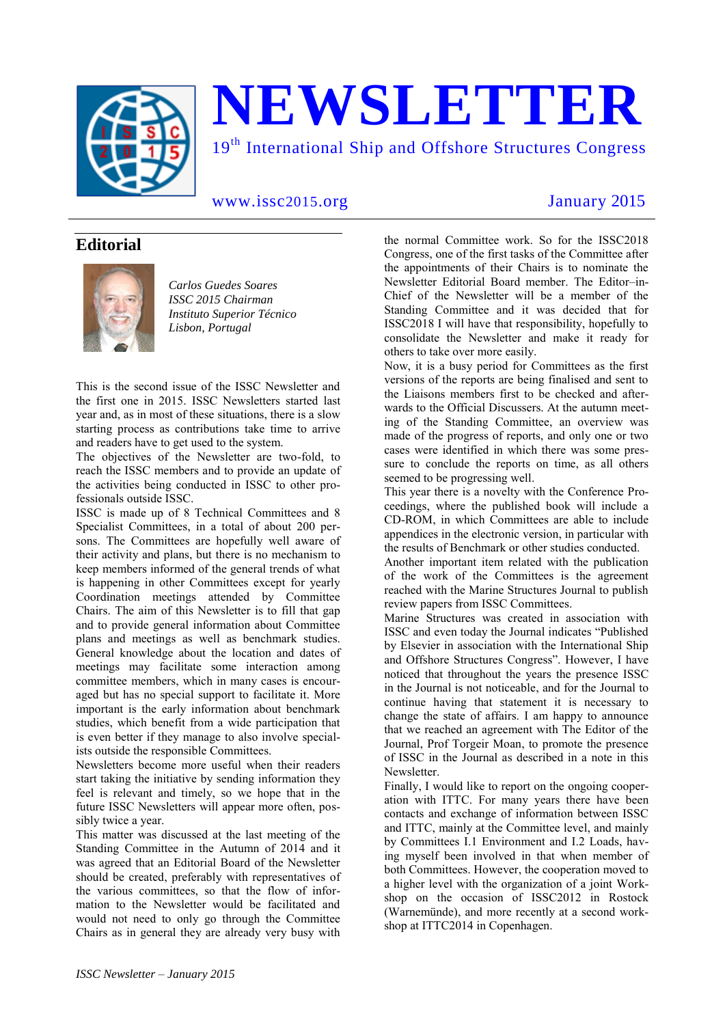

# **NEWSLETTER**

19<sup>th</sup> International Ship and Offshore Structures Congress

www.issc2015.org January 2015

# **Editorial**



*Carlos Guedes Soares ISSC 2015 Chairman Instituto Superior Técnico Lisbon, Portugal*

This is the second issue of the ISSC Newsletter and the first one in 2015. ISSC Newsletters started last year and, as in most of these situations, there is a slow starting process as contributions take time to arrive and readers have to get used to the system.

The objectives of the Newsletter are two-fold, to reach the ISSC members and to provide an update of the activities being conducted in ISSC to other professionals outside ISSC.

ISSC is made up of 8 Technical Committees and 8 Specialist Committees, in a total of about 200 persons. The Committees are hopefully well aware of their activity and plans, but there is no mechanism to keep members informed of the general trends of what is happening in other Committees except for yearly Coordination meetings attended by Committee Chairs. The aim of this Newsletter is to fill that gap and to provide general information about Committee plans and meetings as well as benchmark studies. General knowledge about the location and dates of meetings may facilitate some interaction among committee members, which in many cases is encouraged but has no special support to facilitate it. More important is the early information about benchmark studies, which benefit from a wide participation that is even better if they manage to also involve specialists outside the responsible Committees.

Newsletters become more useful when their readers start taking the initiative by sending information they feel is relevant and timely, so we hope that in the future ISSC Newsletters will appear more often, possibly twice a year.

This matter was discussed at the last meeting of the Standing Committee in the Autumn of 2014 and it was agreed that an Editorial Board of the Newsletter should be created, preferably with representatives of the various committees, so that the flow of information to the Newsletter would be facilitated and would not need to only go through the Committee Chairs as in general they are already very busy with

the normal Committee work. So for the ISSC2018 Congress, one of the first tasks of the Committee after the appointments of their Chairs is to nominate the Newsletter Editorial Board member. The Editor–in-Chief of the Newsletter will be a member of the Standing Committee and it was decided that for ISSC2018 I will have that responsibility, hopefully to consolidate the Newsletter and make it ready for others to take over more easily.

Now, it is a busy period for Committees as the first versions of the reports are being finalised and sent to the Liaisons members first to be checked and afterwards to the Official Discussers. At the autumn meeting of the Standing Committee, an overview was made of the progress of reports, and only one or two cases were identified in which there was some pressure to conclude the reports on time, as all others seemed to be progressing well.

This year there is a novelty with the Conference Proceedings, where the published book will include a CD-ROM, in which Committees are able to include appendices in the electronic version, in particular with the results of Benchmark or other studies conducted.

Another important item related with the publication of the work of the Committees is the agreement reached with the Marine Structures Journal to publish review papers from ISSC Committees.

Marine Structures was created in association with ISSC and even today the Journal indicates "Published by Elsevier in association with the International Ship and Offshore Structures Congress". However, I have noticed that throughout the years the presence ISSC in the Journal is not noticeable, and for the Journal to continue having that statement it is necessary to change the state of affairs. I am happy to announce that we reached an agreement with The Editor of the Journal, Prof Torgeir Moan, to promote the presence of ISSC in the Journal as described in a note in this Newsletter.

Finally, I would like to report on the ongoing cooperation with ITTC. For many years there have been contacts and exchange of information between ISSC and ITTC, mainly at the Committee level, and mainly by Committees I.1 Environment and I.2 Loads, having myself been involved in that when member of both Committees. However, the cooperation moved to a higher level with the organization of a joint Workshop on the occasion of ISSC2012 in Rostock (Warnemünde), and more recently at a second workshop at ITTC2014 in Copenhagen.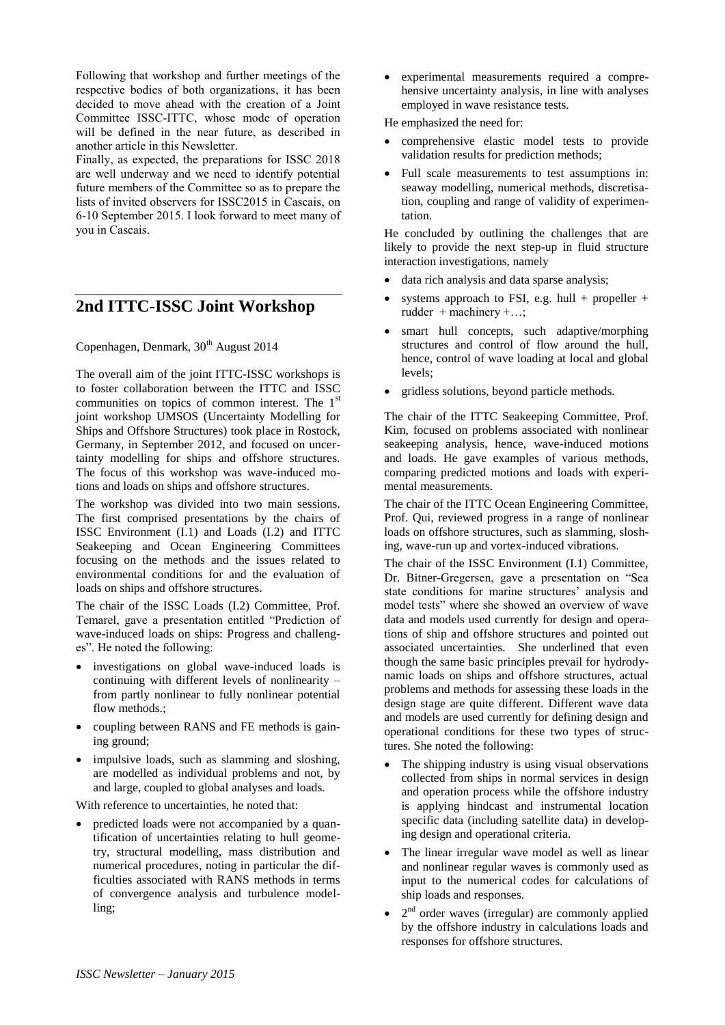Following that workshop and further meetings of the respective bodies of both organizations, it has been decided to move ahead with the creation of a Joint Committee ISSC-ITTC, whose mode of operation will be defined in the near future, as described in another article in this Newsletter.

Finally, as expected, the preparations for ISSC 2018 are well underway and we need to identify potential future members of the Committee so as to prepare the lists of invited observers for ISSC2015 in Cascais, on 6-10 September 2015. I look forward to meet many of you in Cascais.

# **2nd ITTC-ISSC Joint Workshop**

Copenhagen, Denmark,  $30<sup>th</sup>$  August 2014

The overall aim of the joint ITTC-ISSC workshops is to foster collaboration between the ITTC and ISSC communities on topics of common interest. The 1<sup>st</sup> joint workshop UMSOS (Uncertainty Modelling for Ships and Offshore Structures) took place in Rostock, Germany, in September 2012, and focused on uncertainty modelling for ships and offshore structures. The focus of this workshop was wave-induced motions and loads on ships and offshore structures.

The workshop was divided into two main sessions. The first comprised presentations by the chairs of ISSC Environment (I.1) and Loads (I.2) and ITTC Seakeeping and Ocean Engineering Committees focusing on the methods and the issues related to environmental conditions for and the evaluation of loads on ships and offshore structures.

The chair of the ISSC Loads (I.2) Committee, Prof. Temarel, gave a presentation entitled "Prediction of wave-induced loads on ships: Progress and challenges". He noted the following:

- investigations on global wave-induced loads is continuing with different levels of nonlinearity – from partly nonlinear to fully nonlinear potential flow methods.:
- coupling between RANS and FE methods is gaining ground;
- impulsive loads, such as slamming and sloshing, are modelled as individual problems and not, by and large, coupled to global analyses and loads.

With reference to uncertainties, he noted that:

 predicted loads were not accompanied by a quantification of uncertainties relating to hull geometry, structural modelling, mass distribution and numerical procedures, noting in particular the difficulties associated with RANS methods in terms of convergence analysis and turbulence modelling;

 experimental measurements required a comprehensive uncertainty analysis, in line with analyses employed in wave resistance tests.

He emphasized the need for:

- comprehensive elastic model tests to provide validation results for prediction methods;
- Full scale measurements to test assumptions in: seaway modelling, numerical methods, discretisation, coupling and range of validity of experimentation.

He concluded by outlining the challenges that are likely to provide the next step-up in fluid structure interaction investigations, namely

- data rich analysis and data sparse analysis;
- systems approach to FSI, e.g. hull + propeller + rudder + machinery +…;
- smart hull concepts, such adaptive/morphing structures and control of flow around the hull, hence, control of wave loading at local and global levels;
- gridless solutions, beyond particle methods.

The chair of the ITTC Seakeeping Committee, Prof. Kim, focused on problems associated with nonlinear seakeeping analysis, hence, wave-induced motions and loads. He gave examples of various methods, comparing predicted motions and loads with experimental measurements.

The chair of the ITTC Ocean Engineering Committee, Prof. Qui, reviewed progress in a range of nonlinear loads on offshore structures, such as slamming, sloshing, wave-run up and vortex-induced vibrations.

The chair of the ISSC Environment (I.1) Committee, Dr. Bitner-Gregersen, gave a presentation on "Sea state conditions for marine structures' analysis and model tests" where she showed an overview of wave data and models used currently for design and operations of ship and offshore structures and pointed out associated uncertainties. She underlined that even though the same basic principles prevail for hydrodynamic loads on ships and offshore structures, actual problems and methods for assessing these loads in the design stage are quite different. Different wave data and models are used currently for defining design and operational conditions for these two types of structures. She noted the following:

- The shipping industry is using visual observations collected from ships in normal services in design and operation process while the offshore industry is applying hindcast and instrumental location specific data (including satellite data) in developing design and operational criteria.
- The linear irregular wave model as well as linear and nonlinear regular waves is commonly used as input to the numerical codes for calculations of ship loads and responses.
- $\bullet$   $2<sup>nd</sup>$  order waves (irregular) are commonly applied by the offshore industry in calculations loads and responses for offshore structures.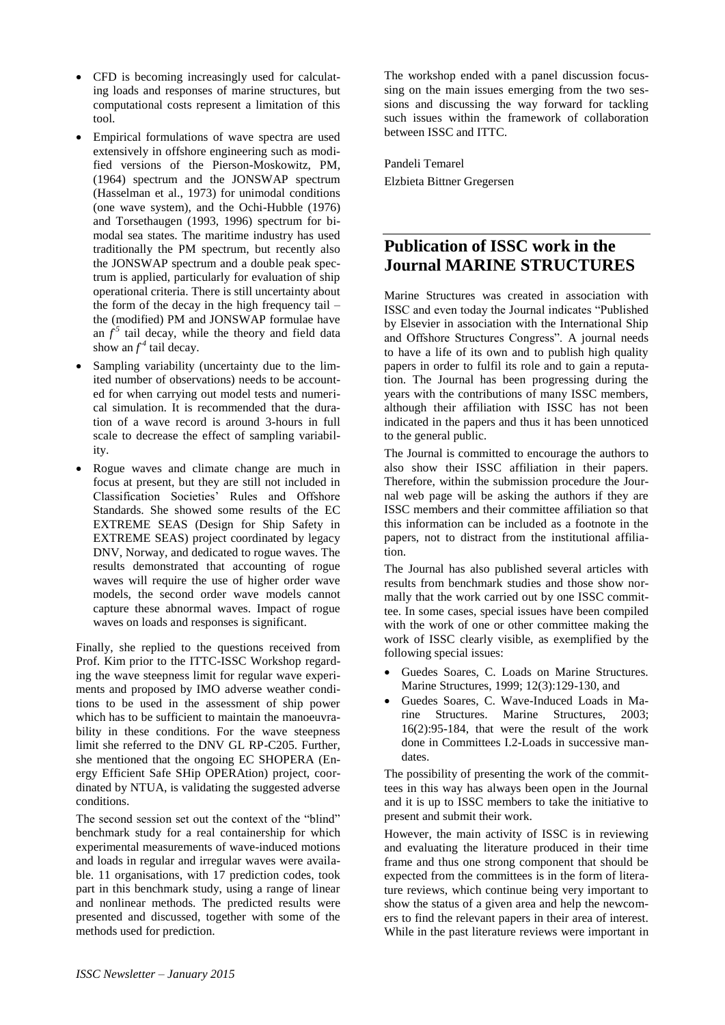- CFD is becoming increasingly used for calculating loads and responses of marine structures, but computational costs represent a limitation of this tool.
- Empirical formulations of wave spectra are used extensively in offshore engineering such as modified versions of the Pierson-Moskowitz, PM, (1964) spectrum and the JONSWAP spectrum (Hasselman et al., 1973) for unimodal conditions (one wave system), and the Ochi-Hubble (1976) and Torsethaugen (1993, 1996) spectrum for bimodal sea states. The maritime industry has used traditionally the PM spectrum, but recently also the JONSWAP spectrum and a double peak spectrum is applied, particularly for evaluation of ship operational criteria. There is still uncertainty about the form of the decay in the high frequency tail – the (modified) PM and JONSWAP formulae have an  $f^5$  tail decay, while the theory and field data show an  $f^4$  tail decay.
- Sampling variability (uncertainty due to the limited number of observations) needs to be accounted for when carrying out model tests and numerical simulation. It is recommended that the duration of a wave record is around 3-hours in full scale to decrease the effect of sampling variability.
- Rogue waves and climate change are much in focus at present, but they are still not included in Classification Societies' Rules and Offshore Standards. She showed some results of the EC EXTREME SEAS (Design for Ship Safety in EXTREME SEAS) project coordinated by legacy DNV, Norway, and dedicated to rogue waves. The results demonstrated that accounting of rogue waves will require the use of higher order wave models, the second order wave models cannot capture these abnormal waves. Impact of rogue waves on loads and responses is significant.

Finally, she replied to the questions received from Prof. Kim prior to the ITTC-ISSC Workshop regarding the wave steepness limit for regular wave experiments and proposed by IMO adverse weather conditions to be used in the assessment of ship power which has to be sufficient to maintain the manoeuvrability in these conditions. For the wave steepness limit she referred to the DNV GL RP-C205. Further, she mentioned that the ongoing EC SHOPERA (Energy Efficient Safe SHip OPERAtion) project, coordinated by NTUA, is validating the suggested adverse conditions.

The second session set out the context of the "blind" benchmark study for a real containership for which experimental measurements of wave-induced motions and loads in regular and irregular waves were available. 11 organisations, with 17 prediction codes, took part in this benchmark study, using a range of linear and nonlinear methods. The predicted results were presented and discussed, together with some of the methods used for prediction.

The workshop ended with a panel discussion focussing on the main issues emerging from the two sessions and discussing the way forward for tackling such issues within the framework of collaboration between ISSC and ITTC.

Pandeli Temarel Elzbieta Bittner Gregersen

# **Publication of ISSC work in the Journal MARINE STRUCTURES**

Marine Structures was created in association with ISSC and even today the Journal indicates "Published by Elsevier in association with the International Ship and Offshore Structures Congress". A journal needs to have a life of its own and to publish high quality papers in order to fulfil its role and to gain a reputation. The Journal has been progressing during the years with the contributions of many ISSC members, although their affiliation with ISSC has not been indicated in the papers and thus it has been unnoticed to the general public.

The Journal is committed to encourage the authors to also show their ISSC affiliation in their papers. Therefore, within the submission procedure the Journal web page will be asking the authors if they are ISSC members and their committee affiliation so that this information can be included as a footnote in the papers, not to distract from the institutional affiliation.

The Journal has also published several articles with results from benchmark studies and those show normally that the work carried out by one ISSC committee. In some cases, special issues have been compiled with the work of one or other committee making the work of ISSC clearly visible, as exemplified by the following special issues:

- Guedes Soares, C. Loads on Marine Structures. Marine Structures, 1999; 12(3):129-130, and
- Guedes Soares, C. Wave-Induced Loads in Marine Structures. Marine Structures, 2003; 16(2):95-184, that were the result of the work done in Committees I.2-Loads in successive mandates.

The possibility of presenting the work of the committees in this way has always been open in the Journal and it is up to ISSC members to take the initiative to present and submit their work.

However, the main activity of ISSC is in reviewing and evaluating the literature produced in their time frame and thus one strong component that should be expected from the committees is in the form of literature reviews, which continue being very important to show the status of a given area and help the newcomers to find the relevant papers in their area of interest. While in the past literature reviews were important in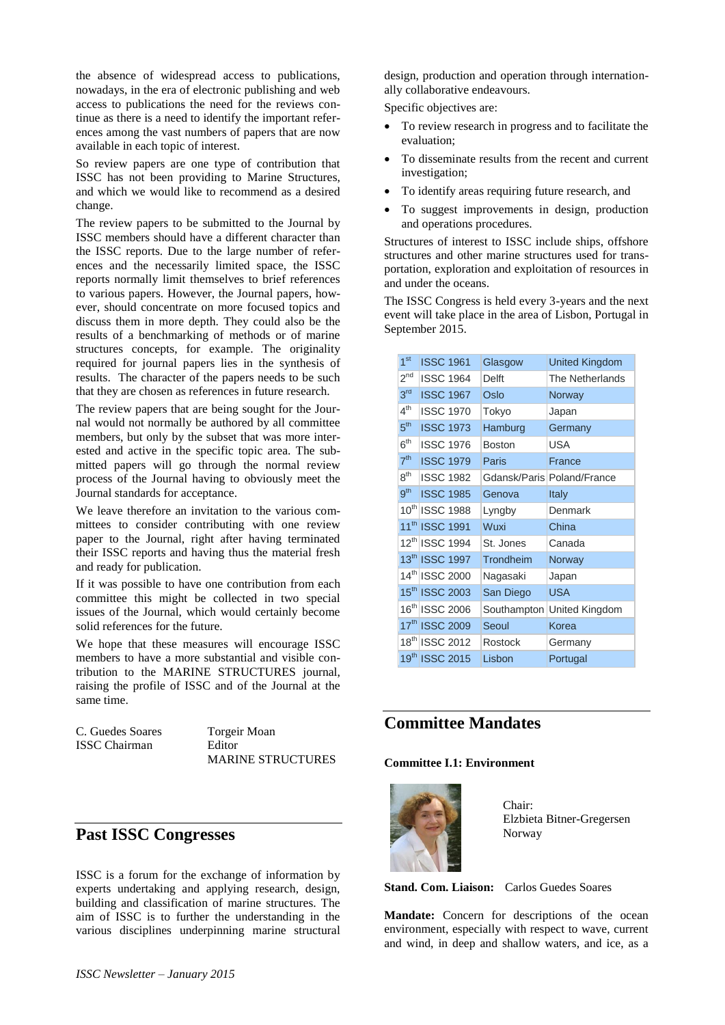the absence of widespread access to publications, nowadays, in the era of electronic publishing and web access to publications the need for the reviews continue as there is a need to identify the important references among the vast numbers of papers that are now available in each topic of interest.

So review papers are one type of contribution that ISSC has not been providing to Marine Structures, and which we would like to recommend as a desired change.

The review papers to be submitted to the Journal by ISSC members should have a different character than the ISSC reports. Due to the large number of references and the necessarily limited space, the ISSC reports normally limit themselves to brief references to various papers. However, the Journal papers, however, should concentrate on more focused topics and discuss them in more depth. They could also be the results of a benchmarking of methods or of marine structures concepts, for example. The originality required for journal papers lies in the synthesis of results. The character of the papers needs to be such that they are chosen as references in future research.

The review papers that are being sought for the Journal would not normally be authored by all committee members, but only by the subset that was more interested and active in the specific topic area. The submitted papers will go through the normal review process of the Journal having to obviously meet the Journal standards for acceptance.

We leave therefore an invitation to the various committees to consider contributing with one review paper to the Journal, right after having terminated their ISSC reports and having thus the material fresh and ready for publication.

If it was possible to have one contribution from each committee this might be collected in two special issues of the Journal, which would certainly become solid references for the future.

We hope that these measures will encourage ISSC members to have a more substantial and visible contribution to the MARINE STRUCTURES journal, raising the profile of ISSC and of the Journal at the same time.

C. Guedes Soares Torgeir Moan ISSC Chairman Editor

MARINE STRUCTURES

# **Past ISSC Congresses**

ISSC is a forum for the exchange of information by experts undertaking and applying research, design, building and classification of marine structures. The aim of ISSC is to further the understanding in the various disciplines underpinning marine structural design, production and operation through internationally collaborative endeavours.

Specific objectives are:

- To review research in progress and to facilitate the evaluation;
- To disseminate results from the recent and current investigation;
- To identify areas requiring future research, and
- To suggest improvements in design, production and operations procedures.

Structures of interest to ISSC include ships, offshore structures and other marine structures used for transportation, exploration and exploitation of resources in and under the oceans.

The ISSC Congress is held every 3-years and the next event will take place in the area of Lisbon, Portugal in September 2015.

| 1 <sup>st</sup> | <b>ISSC 1961</b>           | Glasgow        | <b>United Kingdom</b>      |
|-----------------|----------------------------|----------------|----------------------------|
| 2 <sup>nd</sup> | <b>ISSC 1964</b>           | Delft          | The Netherlands            |
| 3 <sup>rd</sup> | <b>ISSC 1967</b>           | Oslo           | Norway                     |
| 4 <sup>th</sup> | <b>ISSC 1970</b>           | Tokyo          | Japan                      |
| 5 <sup>th</sup> | <b>ISSC 1973</b>           | Hamburg        | Germany                    |
| 6 <sup>th</sup> | <b>ISSC 1976</b>           | <b>Boston</b>  | <b>USA</b>                 |
| 7 <sup>th</sup> | <b>ISSC 1979</b>           | Paris          | France                     |
| 8 <sup>th</sup> | <b>ISSC 1982</b>           |                | Gdansk/Paris Poland/France |
| 9 <sup>th</sup> | <b>ISSC 1985</b>           | Genova         | <b>Italy</b>               |
|                 | 10 <sup>th</sup> ISSC 1988 | Lyngby         | Denmark                    |
|                 | 11 <sup>th</sup> ISSC 1991 | Wuxi           | China                      |
|                 | 12th ISSC 1994             | St. Jones      | Canada                     |
|                 | 13th ISSC 1997             | Trondheim      | Norway                     |
|                 | 14th ISSC 2000             | Nagasaki       | Japan                      |
|                 | 15th ISSC 2003             | San Diego      | <b>USA</b>                 |
|                 | 16th ISSC 2006             | Southampton    | United Kingdom             |
|                 | 17th ISSC 2009             | Seoul          | Korea                      |
|                 | 18th ISSC 2012             | <b>Rostock</b> | Germany                    |
|                 | 19th ISSC 2015             | Lisbon         | Portugal                   |

# **Committee Mandates**

#### **Committee I.1: Environment**



Chair: Elzbieta Bitner-Gregersen Norway

**Stand. Com. Liaison:** Carlos Guedes Soares

**Mandate:** Concern for descriptions of the ocean environment, especially with respect to wave, current and wind, in deep and shallow waters, and ice, as a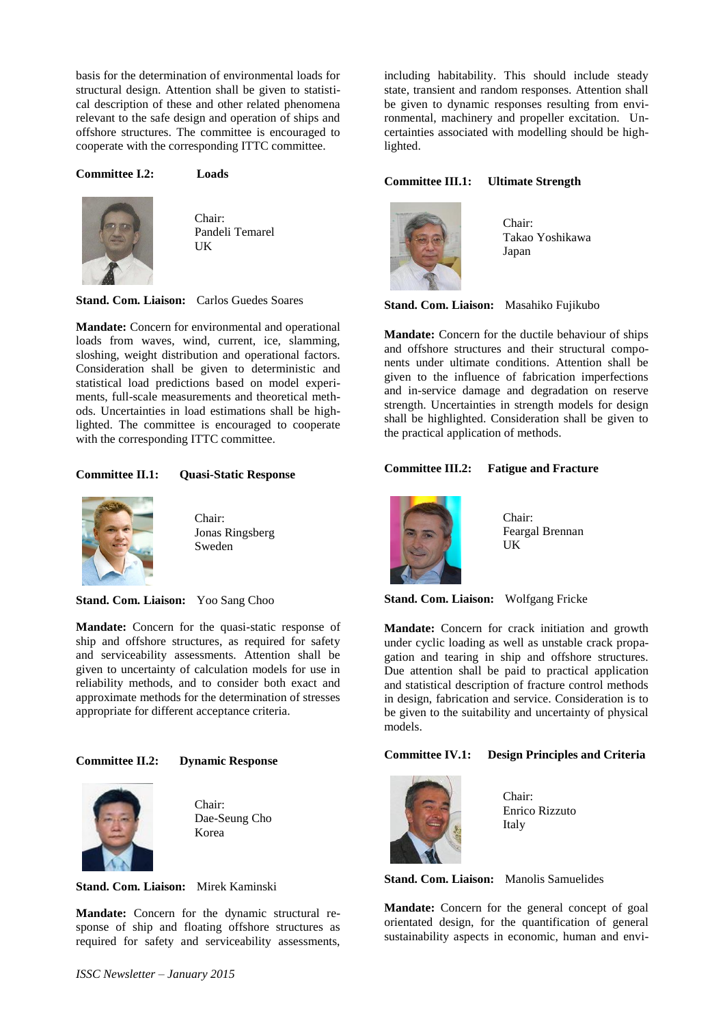basis for the determination of environmental loads for structural design. Attention shall be given to statistical description of these and other related phenomena relevant to the safe design and operation of ships and offshore structures. The committee is encouraged to cooperate with the corresponding ITTC committee.

#### **Committee I.2: Loads**



Chair: Pandeli Temarel UK

**Stand. Com. Liaison:** Carlos Guedes Soares

**Mandate:** Concern for environmental and operational loads from waves, wind, current, ice, slamming, sloshing, weight distribution and operational factors. Consideration shall be given to deterministic and statistical load predictions based on model experiments, full-scale measurements and theoretical methods. Uncertainties in load estimations shall be highlighted. The committee is encouraged to cooperate with the corresponding ITTC committee.

#### **Committee II.1: Quasi-Static Response**



Chair: Jonas Ringsberg Sweden

**Stand. Com. Liaison:** Yoo Sang Choo

**Mandate:** Concern for the quasi-static response of ship and offshore structures, as required for safety and serviceability assessments. Attention shall be given to uncertainty of calculation models for use in reliability methods, and to consider both exact and approximate methods for the determination of stresses appropriate for different acceptance criteria.

#### **Committee II.2: Dynamic Response**



Chair: Dae-Seung Cho Korea

**Stand. Com. Liaison:** Mirek Kaminski

**Mandate:** Concern for the dynamic structural response of ship and floating offshore structures as required for safety and serviceability assessments, including habitability. This should include steady state, transient and random responses. Attention shall be given to dynamic responses resulting from environmental, machinery and propeller excitation. Uncertainties associated with modelling should be highlighted.

#### **Committee III.1: Ultimate Strength**



Chair: Takao Yoshikawa Japan

**Stand. Com. Liaison:** Masahiko Fujikubo

**Mandate:** Concern for the ductile behaviour of ships and offshore structures and their structural components under ultimate conditions. Attention shall be given to the influence of fabrication imperfections and in-service damage and degradation on reserve strength. Uncertainties in strength models for design shall be highlighted. Consideration shall be given to the practical application of methods.

#### **Committee III.2: Fatigue and Fracture**



Chair: Feargal Brennan UK

**Stand. Com. Liaison:** Wolfgang Fricke

**Mandate:** Concern for crack initiation and growth under cyclic loading as well as unstable crack propagation and tearing in ship and offshore structures. Due attention shall be paid to practical application and statistical description of fracture control methods in design, fabrication and service. Consideration is to be given to the suitability and uncertainty of physical models.

#### **Committee IV.1: Design Principles and Criteria**



Chair: Enrico Rizzuto Italy

**Stand. Com. Liaison:** Manolis Samuelides

**Mandate:** Concern for the general concept of goal orientated design, for the quantification of general sustainability aspects in economic, human and envi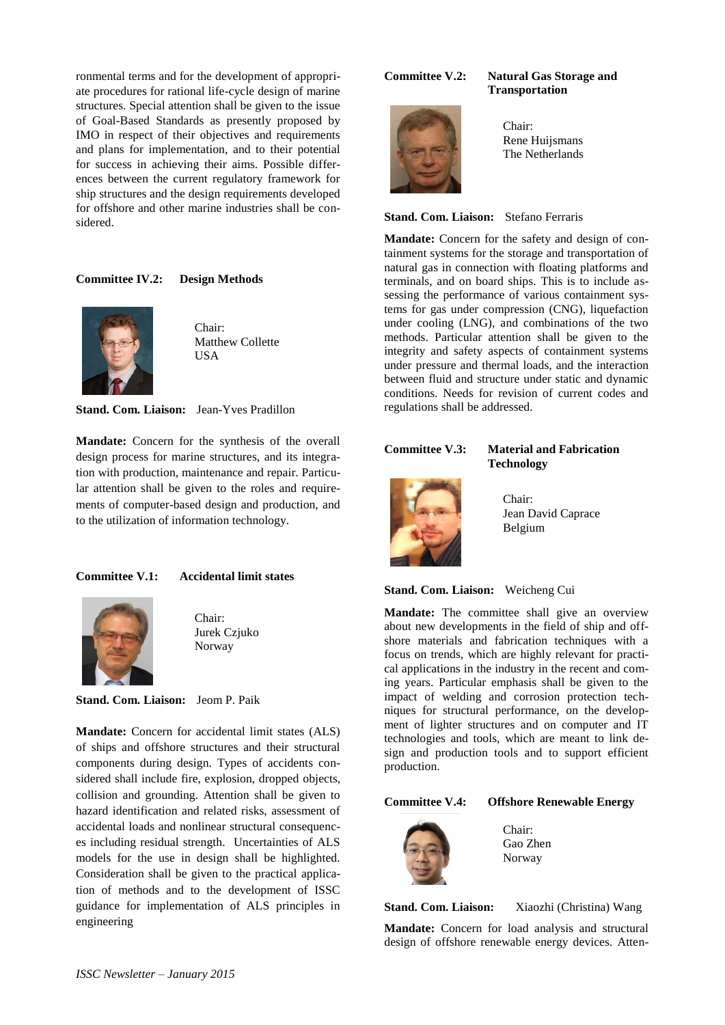ronmental terms and for the development of appropriate procedures for rational life-cycle design of marine structures. Special attention shall be given to the issue of Goal-Based Standards as presently proposed by IMO in respect of their objectives and requirements and plans for implementation, and to their potential for success in achieving their aims. Possible differences between the current regulatory framework for ship structures and the design requirements developed for offshore and other marine industries shall be considered.

## **Committee IV.2: Design Methods**



Chair: Matthew Collette **USA** 

**Stand. Com. Liaison:** Jean-Yves Pradillon

**Mandate:** Concern for the synthesis of the overall design process for marine structures, and its integration with production, maintenance and repair. Particular attention shall be given to the roles and requirements of computer-based design and production, and to the utilization of information technology.

#### **Committee V.1: Accidental limit states**



Chair: Jurek Czjuko Norway

**Stand. Com. Liaison:** Jeom P. Paik

**Mandate:** Concern for accidental limit states (ALS) of ships and offshore structures and their structural components during design. Types of accidents considered shall include fire, explosion, dropped objects, collision and grounding. Attention shall be given to hazard identification and related risks, assessment of accidental loads and nonlinear structural consequences including residual strength. Uncertainties of ALS models for the use in design shall be highlighted. Consideration shall be given to the practical application of methods and to the development of ISSC guidance for implementation of ALS principles in engineering

#### **Committee V.2: Natural Gas Storage and**

Chair: Rene Huijsmans The Netherlands

**Transportation**

#### **Stand. Com. Liaison:** Stefano Ferraris

**Mandate:** Concern for the safety and design of containment systems for the storage and transportation of natural gas in connection with floating platforms and terminals, and on board ships. This is to include assessing the performance of various containment systems for gas under compression (CNG), liquefaction under cooling (LNG), and combinations of the two methods. Particular attention shall be given to the integrity and safety aspects of containment systems under pressure and thermal loads, and the interaction between fluid and structure under static and dynamic conditions. Needs for revision of current codes and regulations shall be addressed.

**Committee V.3: Material and Fabrication**



**Technology**

Chair: Jean David Caprace Belgium

#### **Stand. Com. Liaison:** Weicheng Cui

**Mandate:** The committee shall give an overview about new developments in the field of ship and offshore materials and fabrication techniques with a focus on trends, which are highly relevant for practical applications in the industry in the recent and coming years. Particular emphasis shall be given to the impact of welding and corrosion protection techniques for structural performance, on the development of lighter structures and on computer and IT technologies and tools, which are meant to link design and production tools and to support efficient production.

#### **Committee V.4: Offshore Renewable Energy**



Chair: Gao Zhen Norway

**Stand. Com. Liaison:** Xiaozhi (Christina) Wang

**Mandate:** Concern for load analysis and structural design of offshore renewable energy devices. Atten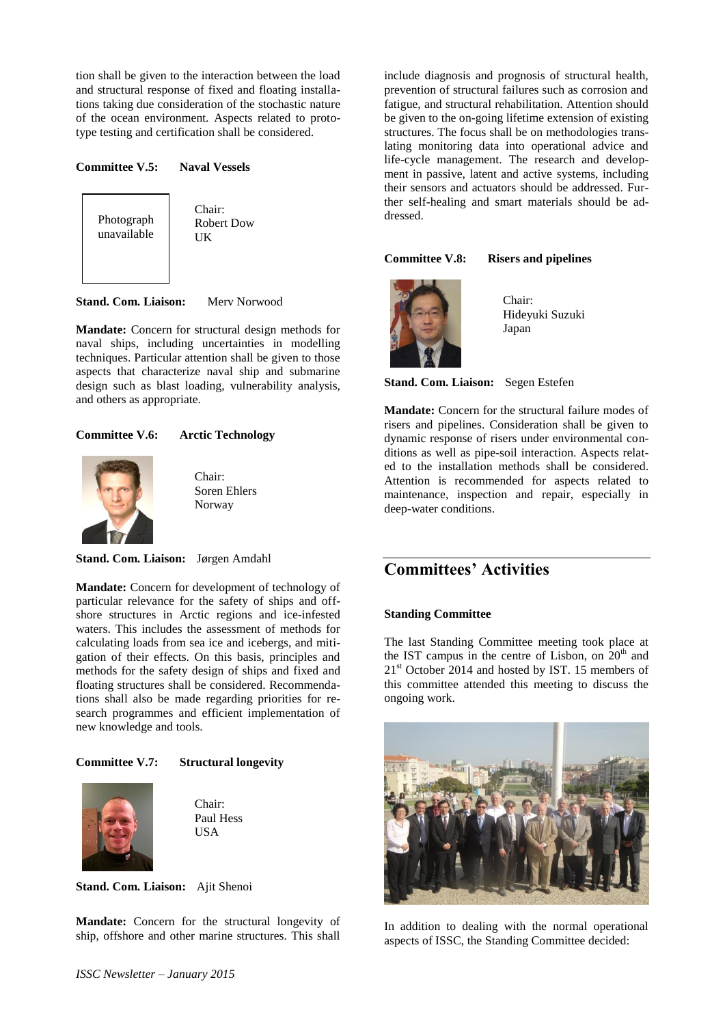tion shall be given to the interaction between the load and structural response of fixed and floating installations taking due consideration of the stochastic nature of the ocean environment. Aspects related to prototype testing and certification shall be considered.

#### **Committee V.5: Naval Vessels**



Chair: Robert Dow **UK** 

**Stand. Com. Liaison:** Merv Norwood

**Mandate:** Concern for structural design methods for naval ships, including uncertainties in modelling techniques. Particular attention shall be given to those aspects that characterize naval ship and submarine design such as blast loading, vulnerability analysis, and others as appropriate.

#### **Committee V.6: Arctic Technology**



Chair: Soren Ehlers Norway

**Stand. Com. Liaison:** Jørgen Amdahl

**Mandate:** Concern for development of technology of particular relevance for the safety of ships and offshore structures in Arctic regions and ice-infested waters. This includes the assessment of methods for calculating loads from sea ice and icebergs, and mitigation of their effects. On this basis, principles and methods for the safety design of ships and fixed and floating structures shall be considered. Recommendations shall also be made regarding priorities for research programmes and efficient implementation of new knowledge and tools.

#### **Committee V.7: Structural longevity**



Chair: Paul Hess USA

**Stand. Com. Liaison:** Ajit Shenoi

**Mandate:** Concern for the structural longevity of ship, offshore and other marine structures. This shall include diagnosis and prognosis of structural health, prevention of structural failures such as corrosion and fatigue, and structural rehabilitation. Attention should be given to the on-going lifetime extension of existing structures. The focus shall be on methodologies translating monitoring data into operational advice and life-cycle management. The research and development in passive, latent and active systems, including their sensors and actuators should be addressed. Further self-healing and smart materials should be addressed.

#### **Committee V.8: Risers and pipelines**



Chair: Hideyuki Suzuki Japan

**Stand. Com. Liaison:** Segen Estefen

**Mandate:** Concern for the structural failure modes of risers and pipelines. Consideration shall be given to dynamic response of risers under environmental conditions as well as pipe-soil interaction. Aspects related to the installation methods shall be considered. Attention is recommended for aspects related to maintenance, inspection and repair, especially in deep-water conditions.

# **Committees' Activities**

#### **Standing Committee**

The last Standing Committee meeting took place at the IST campus in the centre of Lisbon, on  $20<sup>th</sup>$  and  $21<sup>st</sup>$  October 2014 and hosted by IST. 15 members of this committee attended this meeting to discuss the ongoing work.



In addition to dealing with the normal operational aspects of ISSC, the Standing Committee decided: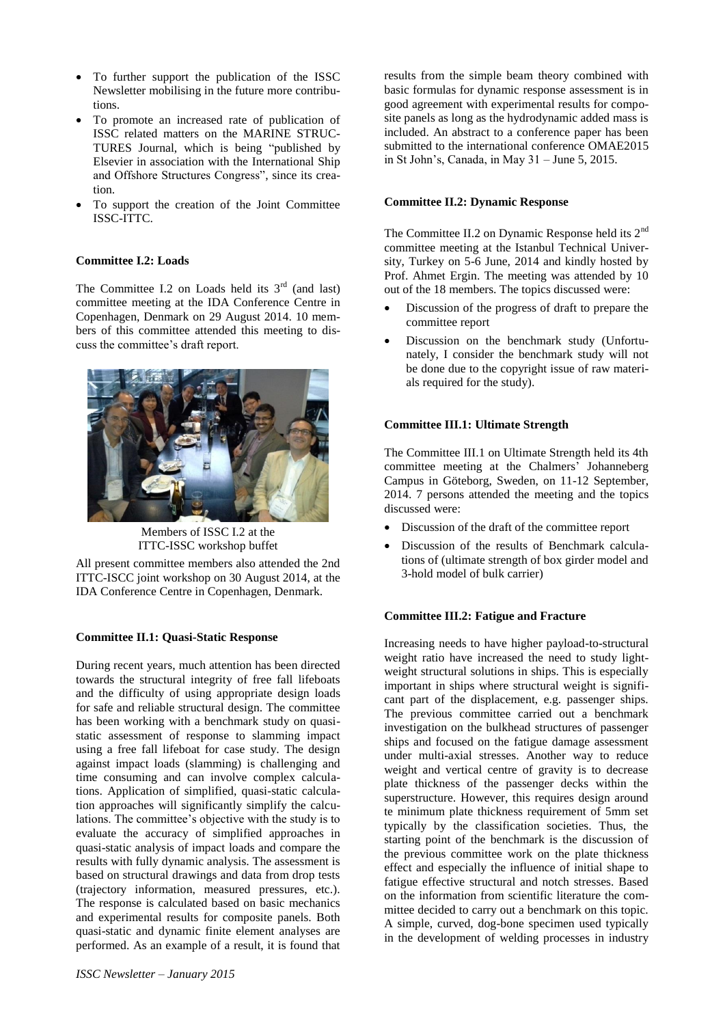- To further support the publication of the ISSC Newsletter mobilising in the future more contributions.
- To promote an increased rate of publication of ISSC related matters on the MARINE STRUC-TURES Journal, which is being "published by Elsevier in association with the International Ship and Offshore Structures Congress", since its creation.
- To support the creation of the Joint Committee ISSC-ITTC.

#### **Committee I.2: Loads**

The Committee I.2 on Loads held its  $3<sup>rd</sup>$  (and last) committee meeting at the IDA Conference Centre in Copenhagen, Denmark on 29 August 2014. 10 members of this committee attended this meeting to discuss the committee's draft report.



Members of ISSC I.2 at the ITTC-ISSC workshop buffet

All present committee members also attended the 2nd ITTC-ISCC joint workshop on 30 August 2014, at the IDA Conference Centre in Copenhagen, Denmark.

#### **Committee II.1: Quasi-Static Response**

During recent years, much attention has been directed towards the structural integrity of free fall lifeboats and the difficulty of using appropriate design loads for safe and reliable structural design. The committee has been working with a benchmark study on quasistatic assessment of response to slamming impact using a free fall lifeboat for case study. The design against impact loads (slamming) is challenging and time consuming and can involve complex calculations. Application of simplified, quasi-static calculation approaches will significantly simplify the calculations. The committee's objective with the study is to evaluate the accuracy of simplified approaches in quasi-static analysis of impact loads and compare the results with fully dynamic analysis. The assessment is based on structural drawings and data from drop tests (trajectory information, measured pressures, etc.). The response is calculated based on basic mechanics and experimental results for composite panels. Both quasi-static and dynamic finite element analyses are performed. As an example of a result, it is found that results from the simple beam theory combined with basic formulas for dynamic response assessment is in good agreement with experimental results for composite panels as long as the hydrodynamic added mass is included. An abstract to a conference paper has been submitted to the international conference OMAE2015 in St John's, Canada, in May 31 – June 5, 2015.

#### **Committee II.2: Dynamic Response**

The Committee II.2 on Dynamic Response held its 2<sup>nd</sup> committee meeting at the Istanbul Technical University, Turkey on 5-6 June, 2014 and kindly hosted by Prof. Ahmet Ergin. The meeting was attended by 10 out of the 18 members. The topics discussed were:

- Discussion of the progress of draft to prepare the committee report
- Discussion on the benchmark study (Unfortunately, I consider the benchmark study will not be done due to the copyright issue of raw materials required for the study).

#### **Committee III.1: Ultimate Strength**

The Committee III.1 on Ultimate Strength held its 4th committee meeting at the Chalmers' Johanneberg Campus in Göteborg, Sweden, on 11-12 September, 2014. 7 persons attended the meeting and the topics discussed were:

- Discussion of the draft of the committee report
- Discussion of the results of Benchmark calculations of (ultimate strength of box girder model and 3-hold model of bulk carrier)

#### **Committee III.2: Fatigue and Fracture**

Increasing needs to have higher payload-to-structural weight ratio have increased the need to study lightweight structural solutions in ships. This is especially important in ships where structural weight is significant part of the displacement, e.g. passenger ships. The previous committee carried out a benchmark investigation on the bulkhead structures of passenger ships and focused on the fatigue damage assessment under multi-axial stresses. Another way to reduce weight and vertical centre of gravity is to decrease plate thickness of the passenger decks within the superstructure. However, this requires design around te minimum plate thickness requirement of 5mm set typically by the classification societies. Thus, the starting point of the benchmark is the discussion of the previous committee work on the plate thickness effect and especially the influence of initial shape to fatigue effective structural and notch stresses. Based on the information from scientific literature the committee decided to carry out a benchmark on this topic. A simple, curved, dog-bone specimen used typically in the development of welding processes in industry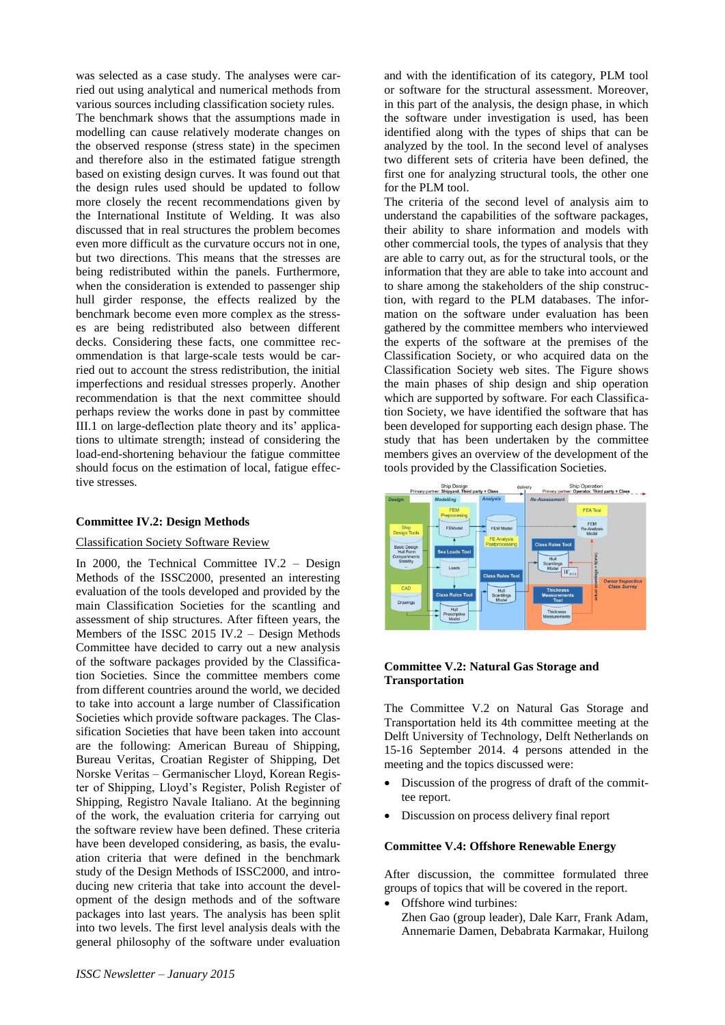was selected as a case study. The analyses were carried out using analytical and numerical methods from various sources including classification society rules. The benchmark shows that the assumptions made in modelling can cause relatively moderate changes on the observed response (stress state) in the specimen and therefore also in the estimated fatigue strength based on existing design curves. It was found out that the design rules used should be updated to follow more closely the recent recommendations given by the International Institute of Welding. It was also discussed that in real structures the problem becomes even more difficult as the curvature occurs not in one, but two directions. This means that the stresses are being redistributed within the panels. Furthermore, when the consideration is extended to passenger ship hull girder response, the effects realized by the benchmark become even more complex as the stresses are being redistributed also between different decks. Considering these facts, one committee recommendation is that large-scale tests would be carried out to account the stress redistribution, the initial imperfections and residual stresses properly. Another recommendation is that the next committee should perhaps review the works done in past by committee III.1 on large-deflection plate theory and its' applications to ultimate strength; instead of considering the load-end-shortening behaviour the fatigue committee should focus on the estimation of local, fatigue effective stresses.

#### **Committee IV.2: Design Methods**

#### Classification Society Software Review

In 2000, the Technical Committee IV.2 – Design Methods of the ISSC2000, presented an interesting evaluation of the tools developed and provided by the main Classification Societies for the scantling and assessment of ship structures. After fifteen years, the Members of the ISSC 2015 IV.2 – Design Methods Committee have decided to carry out a new analysis of the software packages provided by the Classification Societies. Since the committee members come from different countries around the world, we decided to take into account a large number of Classification Societies which provide software packages. The Classification Societies that have been taken into account are the following: American Bureau of Shipping, Bureau Veritas, Croatian Register of Shipping, Det Norske Veritas – Germanischer Lloyd, Korean Register of Shipping, Lloyd's Register, Polish Register of Shipping, Registro Navale Italiano. At the beginning of the work, the evaluation criteria for carrying out the software review have been defined. These criteria have been developed considering, as basis, the evaluation criteria that were defined in the benchmark study of the Design Methods of ISSC2000, and introducing new criteria that take into account the development of the design methods and of the software packages into last years. The analysis has been split into two levels. The first level analysis deals with the general philosophy of the software under evaluation and with the identification of its category, PLM tool or software for the structural assessment. Moreover, in this part of the analysis, the design phase, in which the software under investigation is used, has been identified along with the types of ships that can be analyzed by the tool. In the second level of analyses two different sets of criteria have been defined, the first one for analyzing structural tools, the other one for the PLM tool.

The criteria of the second level of analysis aim to understand the capabilities of the software packages, their ability to share information and models with other commercial tools, the types of analysis that they are able to carry out, as for the structural tools, or the information that they are able to take into account and to share among the stakeholders of the ship construction, with regard to the PLM databases. The information on the software under evaluation has been gathered by the committee members who interviewed the experts of the software at the premises of the Classification Society, or who acquired data on the Classification Society web sites. The Figure shows the main phases of ship design and ship operation which are supported by software. For each Classification Society, we have identified the software that has been developed for supporting each design phase. The study that has been undertaken by the committee members gives an overview of the development of the tools provided by the Classification Societies.



#### **Committee V.2: Natural Gas Storage and Transportation**

The Committee V.2 on Natural Gas Storage and Transportation held its 4th committee meeting at the Delft University of Technology, Delft Netherlands on 15-16 September 2014. 4 persons attended in the meeting and the topics discussed were:

- Discussion of the progress of draft of the committee report.
- Discussion on process delivery final report

#### **Committee V.4: Offshore Renewable Energy**

After discussion, the committee formulated three groups of topics that will be covered in the report.

- Offshore wind turbines:
	- Zhen Gao (group leader), Dale Karr, Frank Adam, Annemarie Damen, Debabrata Karmakar, Huilong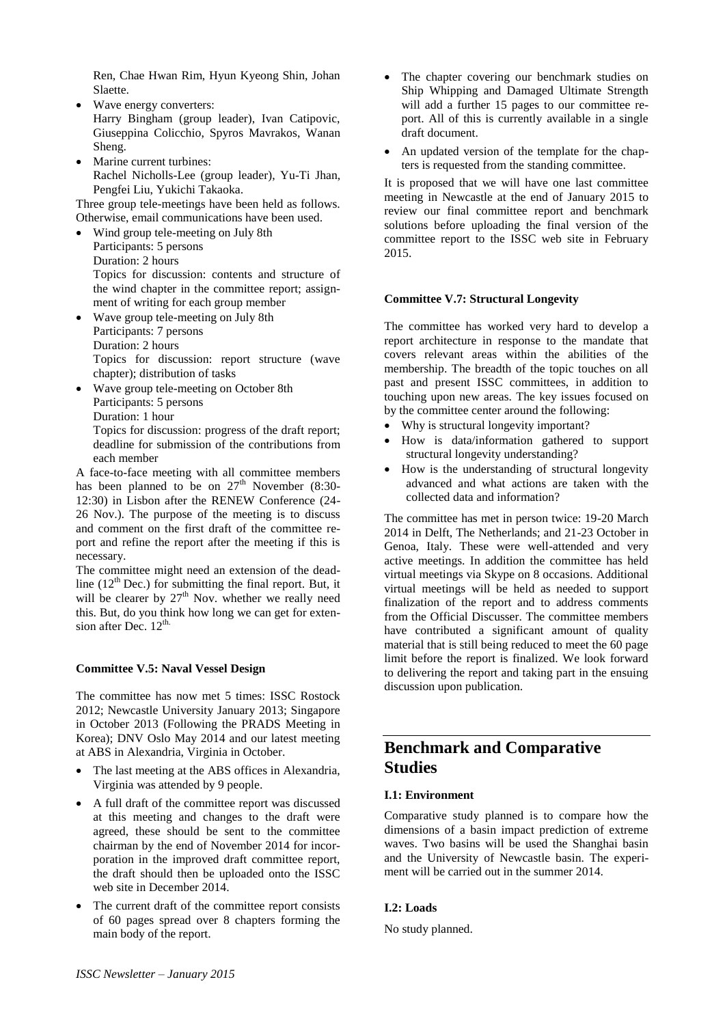Ren, Chae Hwan Rim, Hyun Kyeong Shin, Johan Slaette.

- Wave energy converters: Harry Bingham (group leader), Ivan Catipovic, Giuseppina Colicchio, Spyros Mavrakos, Wanan Sheng.
- Marine current turbines: Rachel Nicholls-Lee (group leader), Yu-Ti Jhan, Pengfei Liu, Yukichi Takaoka.

Three group tele-meetings have been held as follows. Otherwise, email communications have been used.

- Wind group tele-meeting on July 8th Participants: 5 persons Duration: 2 hours Topics for discussion: contents and structure of the wind chapter in the committee report; assignment of writing for each group member
- Wave group tele-meeting on July 8th Participants: 7 persons Duration: 2 hours Topics for discussion: report structure (wave chapter); distribution of tasks
- Wave group tele-meeting on October 8th Participants: 5 persons Duration: 1 hour Topics for discussion: progress of the draft report;

deadline for submission of the contributions from each member

A face-to-face meeting with all committee members has been planned to be on  $27<sup>th</sup>$  November (8:30-12:30) in Lisbon after the RENEW Conference (24- 26 Nov.). The purpose of the meeting is to discuss and comment on the first draft of the committee report and refine the report after the meeting if this is necessary.

The committee might need an extension of the deadline  $(12<sup>th</sup>$  Dec.) for submitting the final report. But, it will be clearer by  $27<sup>th</sup>$  Nov. whether we really need this. But, do you think how long we can get for extension after Dec.  $12^{\text{th}}$ .

#### **Committee V.5: Naval Vessel Design**

The committee has now met 5 times: ISSC Rostock 2012; Newcastle University January 2013; Singapore in October 2013 (Following the PRADS Meeting in Korea); DNV Oslo May 2014 and our latest meeting at ABS in Alexandria, Virginia in October.

- The last meeting at the ABS offices in Alexandria, Virginia was attended by 9 people.
- A full draft of the committee report was discussed at this meeting and changes to the draft were agreed, these should be sent to the committee chairman by the end of November 2014 for incorporation in the improved draft committee report, the draft should then be uploaded onto the ISSC web site in December 2014.
- The current draft of the committee report consists of 60 pages spread over 8 chapters forming the main body of the report.
- The chapter covering our benchmark studies on Ship Whipping and Damaged Ultimate Strength will add a further 15 pages to our committee report. All of this is currently available in a single draft document.
- An updated version of the template for the chapters is requested from the standing committee.

It is proposed that we will have one last committee meeting in Newcastle at the end of January 2015 to review our final committee report and benchmark solutions before uploading the final version of the committee report to the ISSC web site in February 2015.

#### **Committee V.7: Structural Longevity**

The committee has worked very hard to develop a report architecture in response to the mandate that covers relevant areas within the abilities of the membership. The breadth of the topic touches on all past and present ISSC committees, in addition to touching upon new areas. The key issues focused on by the committee center around the following:

- Why is structural longevity important?
- How is data/information gathered to support structural longevity understanding?
- How is the understanding of structural longevity advanced and what actions are taken with the collected data and information?

The committee has met in person twice: 19-20 March 2014 in Delft, The Netherlands; and 21-23 October in Genoa, Italy. These were well-attended and very active meetings. In addition the committee has held virtual meetings via Skype on 8 occasions. Additional virtual meetings will be held as needed to support finalization of the report and to address comments from the Official Discusser. The committee members have contributed a significant amount of quality material that is still being reduced to meet the 60 page limit before the report is finalized. We look forward to delivering the report and taking part in the ensuing discussion upon publication.

# **Benchmark and Comparative Studies**

#### **I.1: Environment**

Comparative study planned is to compare how the dimensions of a basin impact prediction of extreme waves. Two basins will be used the Shanghai basin and the University of Newcastle basin. The experiment will be carried out in the summer 2014.

#### **I.2: Loads**

No study planned.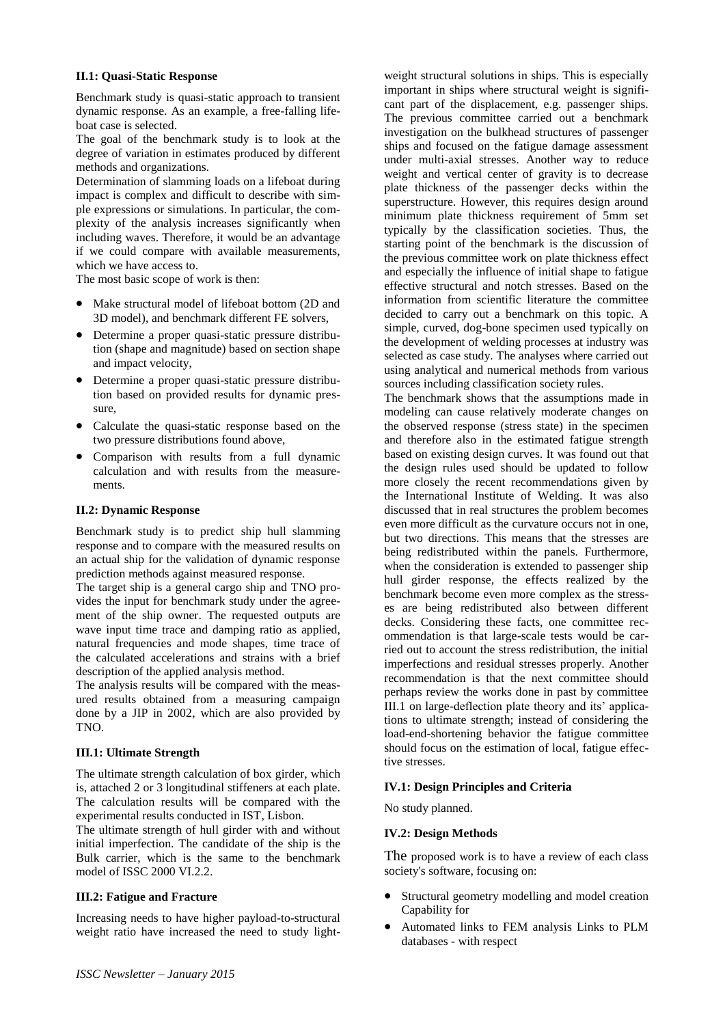#### **II.1: Quasi-Static Response**

Benchmark study is quasi-static approach to transient dynamic response. As an example, a free-falling lifeboat case is selected.

The goal of the benchmark study is to look at the degree of variation in estimates produced by different methods and organizations.

Determination of slamming loads on a lifeboat during impact is complex and difficult to describe with simple expressions or simulations. In particular, the complexity of the analysis increases significantly when including waves. Therefore, it would be an advantage if we could compare with available measurements, which we have access to.

The most basic scope of work is then:

- Make structural model of lifeboat bottom (2D and 3D model), and benchmark different FE solvers,
- Determine a proper quasi-static pressure distribution (shape and magnitude) based on section shape and impact velocity,
- Determine a proper quasi-static pressure distribution based on provided results for dynamic pressure,
- Calculate the quasi-static response based on the two pressure distributions found above,
- Comparison with results from a full dynamic calculation and with results from the measurements.

#### **II.2: Dynamic Response**

Benchmark study is to predict ship hull slamming response and to compare with the measured results on an actual ship for the validation of dynamic response prediction methods against measured response.

The target ship is a general cargo ship and TNO provides the input for benchmark study under the agreement of the ship owner. The requested outputs are wave input time trace and damping ratio as applied, natural frequencies and mode shapes, time trace of the calculated accelerations and strains with a brief description of the applied analysis method.

The analysis results will be compared with the measured results obtained from a measuring campaign done by a JIP in 2002, which are also provided by TNO.

#### **III.1: Ultimate Strength**

The ultimate strength calculation of box girder, which is, attached 2 or 3 longitudinal stiffeners at each plate. The calculation results will be compared with the experimental results conducted in IST, Lisbon.

The ultimate strength of hull girder with and without initial imperfection. The candidate of the ship is the Bulk carrier, which is the same to the benchmark model of ISSC 2000 VI.2.2.

#### **III.2: Fatigue and Fracture**

Increasing needs to have higher payload-to-structural weight ratio have increased the need to study lightweight structural solutions in ships. This is especially important in ships where structural weight is significant part of the displacement, e.g. passenger ships. The previous committee carried out a benchmark investigation on the bulkhead structures of passenger ships and focused on the fatigue damage assessment under multi-axial stresses. Another way to reduce weight and vertical center of gravity is to decrease plate thickness of the passenger decks within the superstructure. However, this requires design around minimum plate thickness requirement of 5mm set typically by the classification societies. Thus, the starting point of the benchmark is the discussion of the previous committee work on plate thickness effect and especially the influence of initial shape to fatigue effective structural and notch stresses. Based on the information from scientific literature the committee decided to carry out a benchmark on this topic. A simple, curved, dog-bone specimen used typically on the development of welding processes at industry was selected as case study. The analyses where carried out using analytical and numerical methods from various sources including classification society rules.

The benchmark shows that the assumptions made in modeling can cause relatively moderate changes on the observed response (stress state) in the specimen and therefore also in the estimated fatigue strength based on existing design curves. It was found out that the design rules used should be updated to follow more closely the recent recommendations given by the International Institute of Welding. It was also discussed that in real structures the problem becomes even more difficult as the curvature occurs not in one, but two directions. This means that the stresses are being redistributed within the panels. Furthermore, when the consideration is extended to passenger ship hull girder response, the effects realized by the benchmark become even more complex as the stresses are being redistributed also between different decks. Considering these facts, one committee recommendation is that large-scale tests would be carried out to account the stress redistribution, the initial imperfections and residual stresses properly. Another recommendation is that the next committee should perhaps review the works done in past by committee III.1 on large-deflection plate theory and its' applications to ultimate strength; instead of considering the load-end-shortening behavior the fatigue committee should focus on the estimation of local, fatigue effective stresses.

#### **IV.1: Design Principles and Criteria**

No study planned.

#### **IV.2: Design Methods**

The proposed work is to have a review of each class society's software, focusing on:

- Structural geometry modelling and model creation Capability for
- Automated links to FEM analysis Links to PLM databases - with respect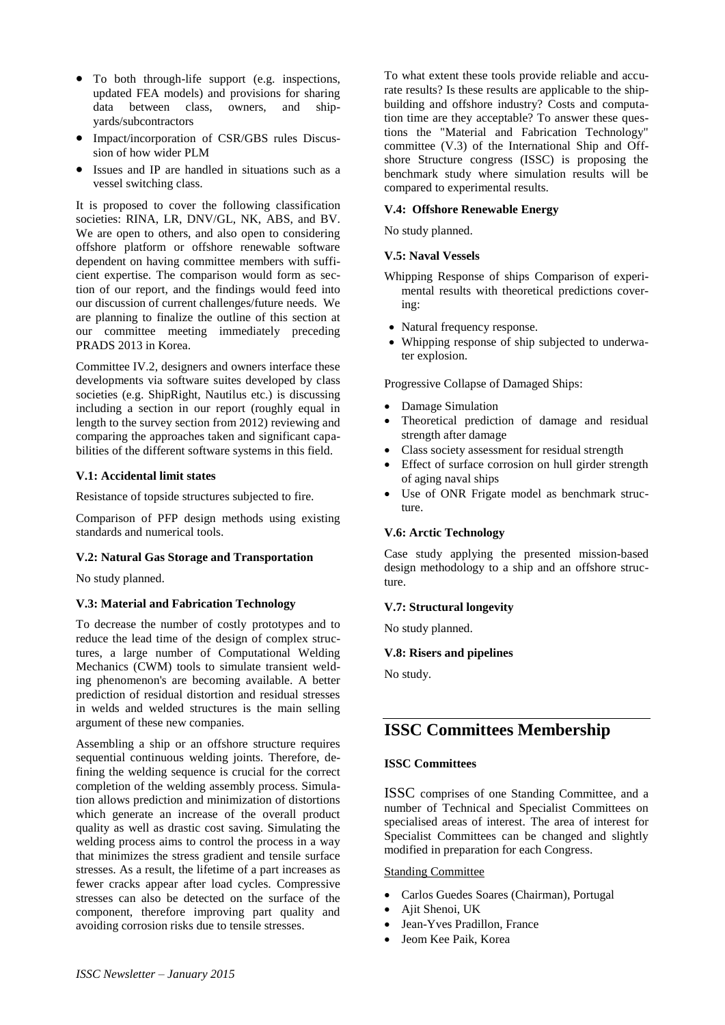- To both through-life support (e.g. inspections, updated FEA models) and provisions for sharing data between class, owners, and shipyards/subcontractors
- Impact/incorporation of CSR/GBS rules Discussion of how wider PLM
- Issues and IP are handled in situations such as a vessel switching class.

It is proposed to cover the following classification societies: RINA, LR, DNV/GL, NK, ABS, and BV. We are open to others, and also open to considering offshore platform or offshore renewable software dependent on having committee members with sufficient expertise. The comparison would form as section of our report, and the findings would feed into our discussion of current challenges/future needs. We are planning to finalize the outline of this section at our committee meeting immediately preceding PRADS 2013 in Korea.

Committee IV.2, designers and owners interface these developments via software suites developed by class societies (e.g. ShipRight, Nautilus etc.) is discussing including a section in our report (roughly equal in length to the survey section from 2012) reviewing and comparing the approaches taken and significant capabilities of the different software systems in this field.

#### **V.1: Accidental limit states**

Resistance of topside structures subjected to fire.

Comparison of PFP design methods using existing standards and numerical tools.

#### **V.2: Natural Gas Storage and Transportation**

No study planned.

#### **V.3: Material and Fabrication Technology**

To decrease the number of costly prototypes and to reduce the lead time of the design of complex structures, a large number of Computational Welding Mechanics (CWM) tools to simulate transient welding phenomenon's are becoming available. A better prediction of residual distortion and residual stresses in welds and welded structures is the main selling argument of these new companies.

Assembling a ship or an offshore structure requires sequential continuous welding joints. Therefore, defining the welding sequence is crucial for the correct completion of the welding assembly process. Simulation allows prediction and minimization of distortions which generate an increase of the overall product quality as well as drastic cost saving. Simulating the welding process aims to control the process in a way that minimizes the stress gradient and tensile surface stresses. As a result, the lifetime of a part increases as fewer cracks appear after load cycles. Compressive stresses can also be detected on the surface of the component, therefore improving part quality and avoiding corrosion risks due to tensile stresses.

To what extent these tools provide reliable and accurate results? Is these results are applicable to the shipbuilding and offshore industry? Costs and computation time are they acceptable? To answer these questions the "Material and Fabrication Technology" committee (V.3) of the International Ship and Offshore Structure congress (ISSC) is proposing the benchmark study where simulation results will be compared to experimental results.

#### **V.4: Offshore Renewable Energy**

No study planned.

#### **V.5: Naval Vessels**

- Whipping Response of ships Comparison of experimental results with theoretical predictions covering:
- Natural frequency response.
- Whipping response of ship subjected to underwater explosion.

Progressive Collapse of Damaged Ships:

- Damage Simulation
- Theoretical prediction of damage and residual strength after damage
- Class society assessment for residual strength
- Effect of surface corrosion on hull girder strength of aging naval ships
- Use of ONR Frigate model as benchmark structure.

#### **V.6: Arctic Technology**

Case study applying the presented mission-based design methodology to a ship and an offshore structure.

#### **V.7: Structural longevity**

No study planned.

## **V.8: Risers and pipelines**

No study.

# **ISSC Committees Membership**

#### **ISSC Committees**

ISSC comprises of one Standing Committee, and a number of Technical and Specialist Committees on specialised areas of interest. The area of interest for Specialist Committees can be changed and slightly modified in preparation for each Congress.

#### Standing Committee

- Carlos Guedes Soares (Chairman), Portugal
- Ajit Shenoi, UK
- Jean-Yves Pradillon, France
- Jeom Kee Paik, Korea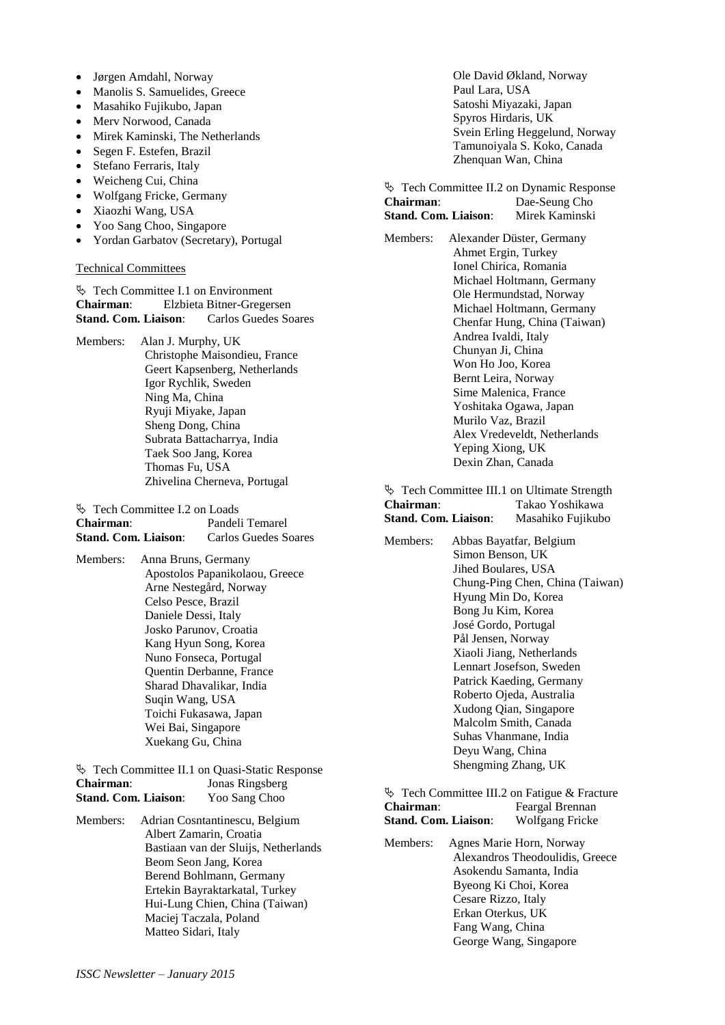- Jørgen Amdahl, Norway
- Manolis S. Samuelides, Greece
- Masahiko Fujikubo, Japan
- Merv Norwood, Canada
- Mirek Kaminski, The Netherlands
- Segen F. Estefen, Brazil
- Stefano Ferraris, Italy
- Weicheng Cui, China
- Wolfgang Fricke, Germany
- Xiaozhi Wang, USA
- Yoo Sang Choo, Singapore
- Yordan Garbatov (Secretary), Portugal

#### Technical Committees

 $\frac{1}{2}$  Tech Committee I.1 on [Environment](http://139.30.101.246/ISSC2012/index.php/committees/committee-i1.html)<br>Chairman: Elzhieta Bitner-Greger **Chairman**: Elzbieta Bitner-Gregersen **Stand. Com. Liaison**: Carlos Guedes Soares

Members: Alan J. Murphy, UK

Christophe Maisondieu, France Geert Kapsenberg, Netherlands Igor Rychlik, Sweden Ning Ma, China Ryuji Miyake, Japan Sheng Dong, China Subrata Battacharrya, India Taek Soo Jang, Korea Thomas Fu, USA Zhivelina Cherneva, Portugal

| $\%$ Tech Committee I.2 on Loads |                      |
|----------------------------------|----------------------|
| Chairman:                        | Pandeli Temarel      |
| <b>Stand. Com. Liaison:</b>      | Carlos Guedes Soares |

Members:Anna Bruns, Germany Apostolos Papanikolaou, Greece Arne Nestegård, Norway Celso Pesce, Brazil Daniele Dessi, Italy Josko Parunov, Croatia Kang Hyun Song, Korea Nuno Fonseca, Portugal Quentin Derbanne, France Sharad Dhavalikar, India Suqin Wang, USA Toichi Fukasawa, Japan Wei Bai, Singapore Xuekang Gu, China

|                             | $\%$ Tech Committee II.1 on Quasi-Static Response |
|-----------------------------|---------------------------------------------------|
| Chairman:                   | Jonas Ringsberg                                   |
| <b>Stand. Com. Liaison:</b> | Yoo Sang Choo                                     |

Members: Adrian Cosntantinescu, Belgium Albert Zamarin, Croatia Bastiaan van der Sluijs, Netherlands Beom Seon Jang, Korea Berend Bohlmann, Germany Ertekin Bayraktarkatal, Turkey Hui-Lung Chien, China (Taiwan) Maciej Taczala, Poland Matteo Sidari, Italy

Ole David Økland, Norway Paul Lara, USA Satoshi Miyazaki, Japan Spyros Hirdaris, UK Svein Erling Heggelund, Norway Tamunoiyala S. Koko, Canada Zhenquan Wan, China

**Example 3** Tech Committee II.2 on [Dynamic Response](http://139.30.101.246/ISSC2012/index.php/committees/committee-ii2.html) **Chairman:** Dae-Seung Cho<br>**Stand. Com. Liaison:** Mirek Kaminski **Stand.** Com. Liaison:

Members: Alexander Düster, Germany Ahmet Ergin, Turkey Ionel Chirica, Romania Michael Holtmann, Germany Ole Hermundstad, Norway Michael Holtmann, Germany Chenfar Hung, China (Taiwan) Andrea Ivaldi, Italy Chunyan Ji, China Won Ho Joo, Korea Bernt Leira, Norway Sime Malenica, France Yoshitaka Ogawa, Japan Murilo Vaz, Brazil Alex Vredeveldt, Netherlands Yeping Xiong, UK Dexin Zhan, Canada

 $\%$  Tech Committee III.1 on [Ultimate Strength](http://139.30.101.246/ISSC2012/index.php/committees/committee-iii1.html) **Chairman**: Takao Yoshikawa **Stand. Com. Liaison**: Masahiko Fujikubo

Members: Abbas Bayatfar, Belgium Simon Benson, UK Jihed Boulares, USA Chung-Ping Chen, China (Taiwan) Hyung Min Do, Korea Bong Ju Kim, Korea José Gordo, Portugal Pål Jensen, Norway Xiaoli Jiang, Netherlands Lennart Josefson, Sweden Patrick Kaeding, Germany Roberto Ojeda, Australia Xudong Qian, Singapore Malcolm Smith, Canada Suhas Vhanmane, India Deyu Wang, China Shengming Zhang, UK

 $\&$  Tech Committee III.2 on [Fatigue &](http://139.30.101.246/ISSC2012/index.php/committees/committee-iii2.html) Fracture **Chairman**: Feargal Brennan **Stand. Com. Liaison**: Wolfgang Fricke

Members: Agnes Marie Horn, Norway Alexandros Theodoulidis, Greece Asokendu Samanta, India Byeong Ki Choi, Korea Cesare Rizzo, Italy Erkan Oterkus, UK Fang Wang, China George Wang, Singapore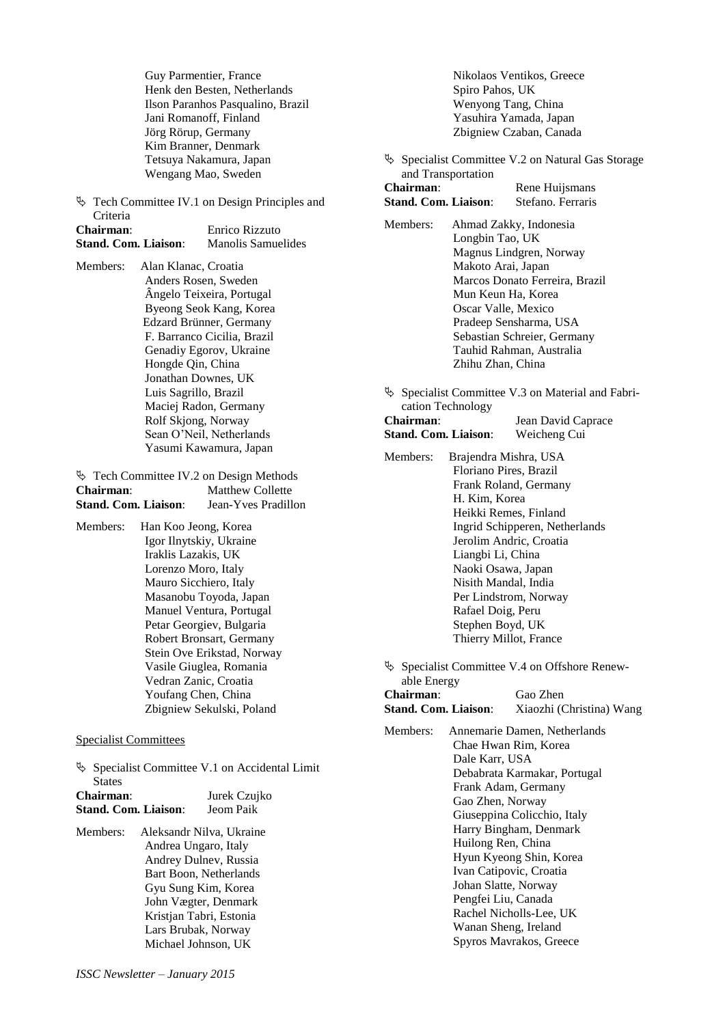Guy Parmentier, France Henk den Besten, Netherlands Ilson Paranhos Pasqualino, Brazil Jani Romanoff, Finland Jörg Rörup, Germany Kim Branner, Denmark Tetsuya Nakamura, Japan Wengang Mao, Sweden

 Tech Committee IV.1 on [Design Principles and](http://139.30.101.246/ISSC2012/index.php/committees/committee-iv1.html)  [Criteria](http://139.30.101.246/ISSC2012/index.php/committees/committee-iv1.html)

| Chairman:                   | Enrico Rizzuto     |  |  |
|-----------------------------|--------------------|--|--|
| <b>Stand. Com. Liaison:</b> | Manolis Samuelides |  |  |

Members: Alan Klanac, Croatia Anders Rosen, Sweden Ângelo Teixeira, Portugal Byeong Seok Kang, Korea Edzard Brünner, Germany F. Barranco Cicilia, Brazil Genadiy Egorov, Ukraine Hongde Qin, China Jonathan Downes, UK Luis Sagrillo, Brazil Maciej Radon, Germany Rolf Skjong, Norway Sean O'Neil, Netherlands Yasumi Kawamura, Japan

| $\%$ Tech Committee IV.2 on Design Methods |                     |
|--------------------------------------------|---------------------|
| Chairman:                                  | Matthew Collette    |
| <b>Stand. Com. Liaison:</b>                | Jean-Yves Pradillon |

Members: Han Koo Jeong, Korea Igor Ilnytskiy, Ukraine Iraklis Lazakis, UK Lorenzo Moro, Italy Mauro Sicchiero, Italy Masanobu Toyoda, Japan Manuel Ventura, Portugal Petar Georgiev, Bulgaria Robert Bronsart, Germany Stein Ove Erikstad, Norway Vasile Giuglea, Romania Vedran Zanic, Croatia Youfang Chen, China Zbigniew Sekulski, Poland

Specialist Committees

|           | <b>States</b>               | $\%$ Specialist Committee V.1 on Accidental Limit |
|-----------|-----------------------------|---------------------------------------------------|
| Chairman: |                             | Jurek Czujko                                      |
|           | <b>Stand. Com. Liaison:</b> | Jeom Paik                                         |

Members: Aleksandr Nilva, Ukraine Andrea Ungaro, Italy Andrey Dulnev, Russia Bart Boon, Netherlands Gyu Sung Kim, Korea John Vægter, Denmark Kristjan Tabri, Estonia Lars Brubak, Norway Michael Johnson, UK

Nikolaos Ventikos, Greece Spiro Pahos, UK Wenyong Tang, China Yasuhira Yamada, Japan Zbigniew Czaban, Canada

 Specialist Committee V.2 on [Natural Gas Storage](http://139.30.101.246/ISSC2012/index.php/committees/committee-v2.html)  [and Transportation](http://139.30.101.246/ISSC2012/index.php/committees/committee-v2.html) **Chairman:** Rene Huijsmans

**Stand. Com. Liaison**: Stefano. Ferraris

- Members: Ahmad Zakky, Indonesia Longbin Tao, UK Magnus Lindgren, Norway Makoto Arai, Japan Marcos Donato Ferreira, Brazil Mun Keun Ha, Korea Oscar Valle, Mexico Pradeep Sensharma, USA Sebastian Schreier, Germany Tauhid Rahman, Australia Zhihu Zhan, China
- Specialist Committee V.3 on [Material and Fabri](http://139.30.101.246/ISSC2012/index.php/committees/committee-v3.html)[cation Technology](http://139.30.101.246/ISSC2012/index.php/committees/committee-v3.html)

| Chairman:            | Jean David Caprace |  |
|----------------------|--------------------|--|
| Stand. Com. Liaison: | Weicheng Cui       |  |

- Members: Brajendra Mishra, USA Floriano Pires, Brazil Frank Roland, Germany H. Kim, Korea Heikki Remes, Finland Ingrid Schipperen, Netherlands Jerolim Andric, Croatia Liangbi Li, China Naoki Osawa, Japan Nisith Mandal, India Per Lindstrom, Norway Rafael Doig, Peru Stephen Boyd, UK Thierry Millot, France
- Specialist Committee V.4 on [Offshore Renew](http://139.30.101.246/ISSC2012/index.php/committees/committee-v4.html)[able Energy](http://139.30.101.246/ISSC2012/index.php/committees/committee-v4.html) **Chairman**: Gao Zhen

| Спан шап.            | <b>Oau Liicii</b>        |  |  |
|----------------------|--------------------------|--|--|
| Stand. Com. Liaison: | Xiaozhi (Christina) Wang |  |  |
|                      |                          |  |  |

Members: Annemarie Damen, Netherlands Chae Hwan Rim, Korea Dale Karr, USA Debabrata Karmakar, Portugal Frank Adam, Germany Gao Zhen, Norway Giuseppina Colicchio, Italy Harry Bingham, Denmark Huilong Ren, China Hyun Kyeong Shin, Korea Ivan Catipovic, Croatia Johan Slatte, Norway Pengfei Liu, Canada Rachel Nicholls-Lee, UK Wanan Sheng, Ireland Spyros Mavrakos, Greece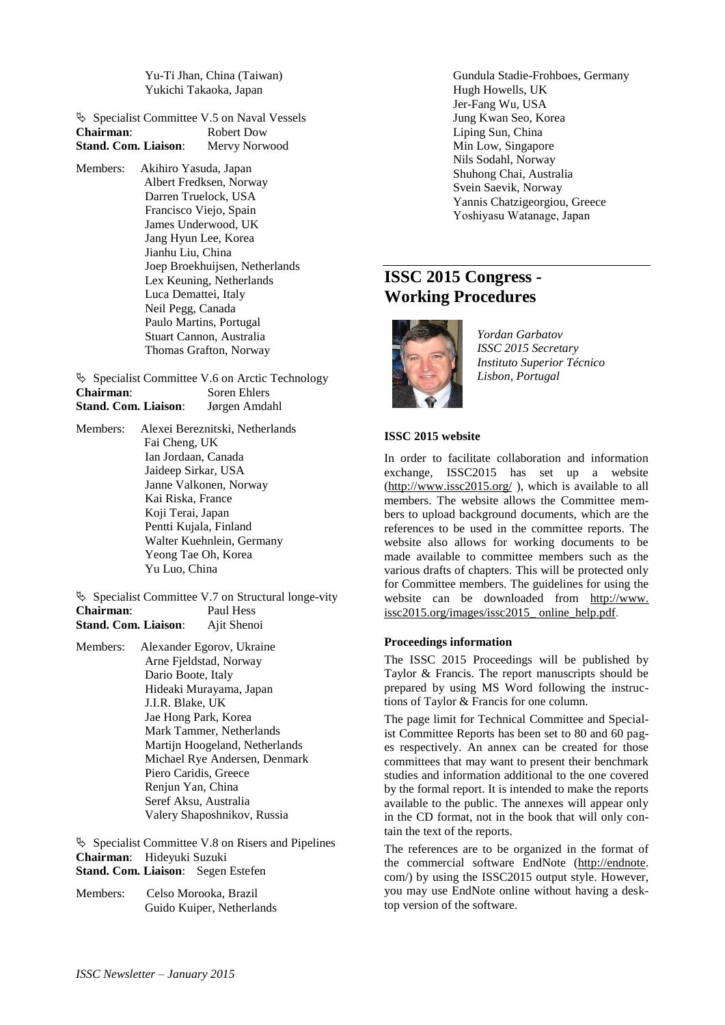Yu-Ti Jhan, China (Taiwan) Yukichi Takaoka, Japan

| $\%$ Specialist Committee V.5 on Naval Vessels |               |
|------------------------------------------------|---------------|
| Chairman:                                      | Robert Dow    |
| <b>Stand. Com. Liaison:</b>                    | Mervy Norwood |

Members: Akihiro Yasuda, Japan Albert Fredksen, Norway Darren Truelock, USA Francisco Viejo, Spain James Underwood, UK Jang Hyun Lee, Korea Jianhu Liu, China Joep Broekhuijsen, Netherlands Lex Keuning, Netherlands Luca Demattei, Italy Neil Pegg, Canada Paulo Martins, Portugal Stuart Cannon, Australia Thomas Grafton, Norway

 $\%$  Specialist Committee V.6 o[n Arctic Technology](http://139.30.101.246/ISSC2012/index.php/committees/committee-v6.html)<br>Chairman: Soren Ehlers **Soren Ehlers Stand. Com. Liaison**: Jørgen Amdahl

Members: Alexei Bereznitski, Netherlands Fai Cheng, UK Ian Jordaan, Canada Jaideep Sirkar, USA Janne Valkonen, Norway Kai Riska, France Koji Terai, Japan Pentti Kujala, Finland Walter Kuehnlein, Germany Yeong Tae Oh, Korea Yu Luo, China

 $\&$  Specialist Committee V.7 on Structural longe-vity **Chairman**: Paul Hess **Stand. Com. Liaison**: Ajit Shenoi

Members: Alexander Egorov, Ukraine Arne Fjeldstad, Norway Dario Boote, Italy Hideaki Murayama, Japan J.I.R. Blake, UK Jae Hong Park, Korea Mark Tammer, Netherlands Martijn Hoogeland, Netherlands Michael Rye Andersen, Denmark Piero Caridis, Greece Renjun Yan, China Seref Aksu, Australia Valery Shaposhnikov, Russia

 $\&$  Specialist Committee V.8 o[n Risers](http://139.30.101.246/ISSC2012/index.php/committees/committee-v8.html) and Pipelines **Chairman**: Hideyuki Suzuki **Stand. Com. Liaison**: Segen Estefen

Members: Celso Morooka, Brazil Guido Kuiper, Netherlands Gundula Stadie-Frohboes, Germany Hugh Howells, UK Jer-Fang Wu, USA Jung Kwan Seo, Korea Liping Sun, China Min Low, Singapore Nils Sodahl, Norway Shuhong Chai, Australia Svein Saevik, Norway Yannis Chatzigeorgiou, Greece Yoshiyasu Watanage, Japan

# **ISSC 2015 Congress - Working Procedures**



*Yordan Garbatov ISSC 2015 Secretary Instituto Superior Técnico Lisbon, Portugal*

## **ISSC 2015 website**

In order to facilitate collaboration and information exchange, ISSC2015 has set up a website [\(http://www.issc2015.org/](http://www.issc2015.org/) ), which is available to all members. The website allows the Committee members to upload background documents, which are the references to be used in the committee reports. The website also allows for working documents to be made available to committee members such as the various drafts of chapters. This will be protected only for Committee members. The guidelines for using the website can be downloaded from http://www. issc2015.org/images/issc2015\_ online\_help.pdf.

#### **Proceedings information**

The ISSC 2015 Proceedings will be published by Taylor & Francis. The report manuscripts should be prepared by using MS Word following the instructions of Taylor & Francis for one column.

The page limit for Technical Committee and Specialist Committee Reports has been set to 80 and 60 pages respectively. An annex can be created for those committees that may want to present their benchmark studies and information additional to the one covered by the formal report. It is intended to make the reports available to the public. The annexes will appear only in the CD format, not in the book that will only contain the text of the reports.

The references are to be organized in the format of the commercial software EndNote [\(http://endnote.](http://endnote/) com/) by using the ISSC2015 output style. However, you may use EndNote online without having a desktop version of the software.